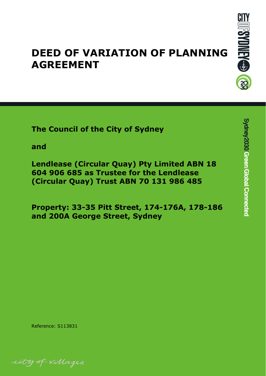

# **DEED OF VARIATION OF PLANNING AGREEMENT**

**The Council of the City of Sydney**

**and**

**Lendlease (Circular Quay) Pty Limited ABN 18 604 906 685 as Trustee for the Lendlease (Circular Quay) Trust ABN 70 131 986 485**

**Property: 33-35 Pitt Street, 174-176A, 178-186 and 200A George Street, Sydney**

Reference: S113831

ity of villages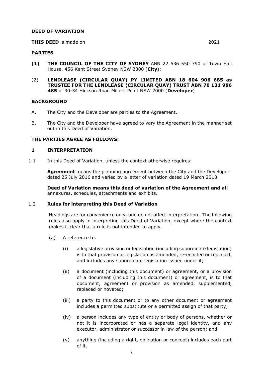## **DEED OF VARIATION**

#### **THIS DEED** is made on 2021

- **(1) THE COUNCIL OF THE CITY OF SYDNEY** ABN 22 636 550 790 of Town Hall House, 456 Kent Street Sydney NSW 2000 (**City**);
- (2) **LENDLEASE (CIRCULAR QUAY) PY LIMITED ABN 18 604 906 685 as TRUSTEE FOR THE LENDLEASE (CIRCULAR QUAY) TRUST ABN 70 131 986 485** of 30-34 Hickson Road Millers Point NSW 2000 (**Developer**)

## **BACKGROUND**

- A. The City and the Developer are parties to the Agreement.
- B. The City and the Developer have agreed to vary the Agreement in the manner set out in this Deed of Variation.

## **THE PARTIES AGREE AS FOLLOWS:**

## **1 INTERPRETATION**

1.1 In this Deed of Variation, unless the context otherwise requires:

**Agreement** means the planning agreement between the City and the Developer dated 25 July 2016 and varied by a letter of variation dated 19 March 2018.

**Deed of Variation means this deed of variation of the Agreement and all** annexures, schedules, attachments and exhibits.

## 1.2 **Rules for interpreting this Deed of Variation**

Headings are for convenience only, and do not affect interpretation. The following rules also apply in interpreting this Deed of Variation, except where the context makes it clear that a rule is not intended to apply.

- (a) A reference to:
	- (i) a legislative provision or legislation (including subordinate legislation) is to that provision or legislation as amended, re-enacted or replaced, and includes any subordinate legislation issued under it;
	- (ii) a document (including this document) or agreement, or a provision of a document (including this document) or agreement, is to that document, agreement or provision as amended, supplemented, replaced or novated;
	- (iii) a party to this document or to any other document or agreement includes a permitted substitute or a permitted assign of that party;
	- (iv) a person includes any type of entity or body of persons, whether or not it is incorporated or has a separate legal identity, and any executor, administrator or successor in law of the person; and
	- (v) anything (including a right, obligation or concept) includes each part of it.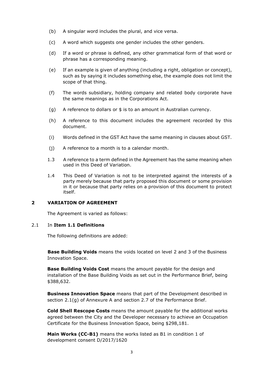- (b) A singular word includes the plural, and vice versa.
- (c) A word which suggests one gender includes the other genders.
- (d) If a word or phrase is defined, any other grammatical form of that word or phrase has a corresponding meaning.
- (e) If an example is given of anything (including a right, obligation or concept), such as by saying it includes something else, the example does not limit the scope of that thing.
- (f) The words subsidiary, holding company and related body corporate have the same meanings as in the Corporations Act.
- (g) A reference to dollars or \$ is to an amount in Australian currency.
- (h) A reference to this document includes the agreement recorded by this document.
- (i) Words defined in the GST Act have the same meaning in clauses about GST.
- (j) A reference to a month is to a calendar month.
- 1.3 A reference to a term defined in the Agreement has the same meaning when used in this Deed of Variation.
- 1.4 This Deed of Variation is not to be interpreted against the interests of a party merely because that party proposed this document or some provision in it or because that party relies on a provision of this document to protect itself.

# **2 VARIATION OF AGREEMENT**

The Agreement is varied as follows:

## 2.1 In **Item 1.1 Definitions**

The following definitions are added:

**Base Building Voids** means the voids located on level 2 and 3 of the Business Innovation Space.

**Base Building Voids Cost** means the amount payable for the design and installation of the Base Building Voids as set out in the Performance Brief, being \$388,632.

**Business Innovation Space** means that part of the Development described in section 2.1(g) of Annexure A and section 2.7 of the Performance Brief.

**Cold Shell Rescope Costs** means the amount payable for the additional works agreed between the City and the Developer necessary to achieve an Occupation Certificate for the Business Innovation Space, being \$298,181.

**Main Works (CC-B1)** means the works listed as B1 in condition 1 of development consent D/2017/1620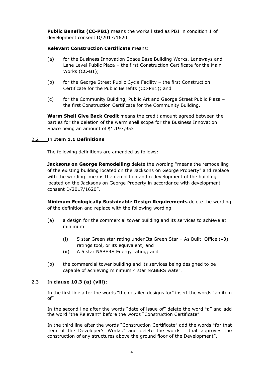**Public Benefits (CC-PB1)** means the works listed as PB1 in condition 1 of development consent D/2017/1620.

# **Relevant Construction Certificate** means:

- (a) for the Business Innovation Space Base Building Works, Laneways and Lane Level Public Plaza – the first Construction Certificate for the Main Works (CC-B1);
- (b) for the George Street Public Cycle Facility the first Construction Certificate for the Public Benefits (CC-PB1); and
- (c) for the Community Building, Public Art and George Street Public Plaza the first Construction Certificate for the Community Building.

**Warm Shell Give Back Credit** means the credit amount agreed between the parties for the deletion of the warm shell scope for the Business Innovation Space being an amount of \$1,197,953

# 2.2 In **Item 1.1 Definitions**

The following definitions are amended as follows:

**Jacksons on George Remodelling** delete the wording "means the remodelling of the existing building located on the Jacksons on George Property" and replace with the wording "means the demolition and redevelopment of the building located on the Jacksons on George Property in accordance with development consent D/2017/1620".

**Minimum Ecologically Sustainable Design Requirements** delete the wording of the definition and replace with the following wording

- (a) a design for the commercial tower building and its services to achieve at minimum
	- (i) 5 star Green star rating under Its Green Star As Built Office (v3) ratings tool, or its equivalent; and
	- (ii) A 5 star NABERS Energy rating; and
- (b) the commercial tower building and its services being designed to be capable of achieving minimum 4 star NABERS water.

## 2.3 In **clause 10.3 (a) (viii)**:

In the first line after the words "the detailed designs for" insert the words "an item of"

In the second line after the words "date of issue of" delete the word "a" and add the word "the Relevant" before the words "Construction Certificate"

In the third line after the words "Construction Certificate" add the words "for that item of the Developer's Works." and delete the words " that approves the construction of any structures above the ground floor of the Development".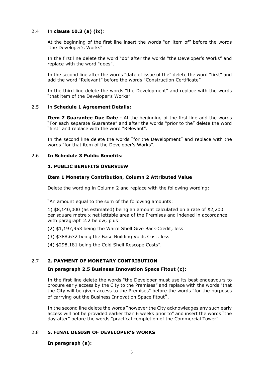# 2.4 In **clause 10.3 (a) (ix)**:

At the beginning of the first line insert the words "an item of" before the words "the Developer's Works"

In the first line delete the word "do" after the words "the Developer's Works" and replace with the word "does".

In the second line after the words "date of issue of the" delete the word "first" and add the word "Relevant" before the words "Construction Certificate"

In the third line delete the words "the Development" and replace with the words "that item of the Developer's Works"

## 2.5 In **Schedule 1 Agreement Details:**

**Item 7 Guarantee Due Date** - At the beginning of the first line add the words "For each separate Guarantee" and after the words "prior to the" delete the word "first" and replace with the word "Relevant".

In the second line delete the words "for the Development" and replace with the words "for that item of the Developer's Works".

## 2.6 **In Schedule 3 Public Benefits:**

## **1. PUBLIC BENEFITS OVERVIEW**

## **Item 1 Monetary Contribution, Column 2 Attributed Value**

Delete the wording in Column 2 and replace with the following wording:

"An amount equal to the sum of the following amounts:

1) \$8,140,000 (as estimated) being an amount calculated on a rate of \$2,200 per square metre x net lettable area of the Premises and indexed in accordance with paragraph 2.2 below; plus

(2) \$1,197,953 being the Warm Shell Give Back Credit; less

(3) \$388,632 being the Base Building Voids Cost; less

(4) \$298,181 being the Cold Shell Rescope Costs".

# 2.7 **2. PAYMENT OF MONETARY CONTRIBUTION**

## **In paragraph 2.5 Business Innovation Space Fitout (c):**

In the first line delete the words "the Developer must use its best endeavours to procure early access by the City to the Premises" and replace with the words "that the City will be given access to the Premises" before the words "for the purposes of carrying out the Business Innovation Space fitout".

In the second line delete the words "however the City acknowledges any such early access will not be provided earlier than 6 weeks prior to" and insert the words "the day after" before the words "practical completion of the Commercial Tower".

# 2.8 **5. FINAL DESIGN OF DEVELOPER'S WORKS**

## **In paragraph (a):**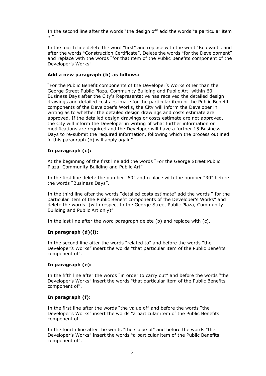In the second line after the words "the design of" add the words "a particular item of".

In the fourth line delete the word "first" and replace with the word "Relevant", and after the words "Construction Certificate". Delete the words "for the Development" and replace with the words "for that item of the Public Benefits component of the Developer's Works"

## **Add a new paragraph (b) as follows:**

"For the Public Benefit components of the Developer's Works other than the George Street Public Plaza, Community Building and Public Art, within 60 Business Days after the City's Representative has received the detailed design drawings and detailed costs estimate for the particular item of the Public Benefit components of the Developer's Works, the City will inform the Developer in writing as to whether the detailed design drawings and costs estimate are approved. If the detailed design drawings or costs estimate are not approved, the City will inform the Developer in writing of what further information or modifications are required and the Developer will have a further 15 Business Days to re-submit the required information, following which the process outlined in this paragraph (b) will apply again".

## **In paragraph (c):**

At the beginning of the first line add the words "For the George Street Public Plaza, Community Building and Public Art"

In the first line delete the number "60" and replace with the number "30" before the words "Business Days".

In the third line after the words "detailed costs estimate" add the words " for the particular item of the Public Benefit components of the Developer's Works" and delete the words "(with respect to the George Street Public Plaza, Community Building and Public Art only)"

In the last line after the word paragraph delete (b) and replace with (c).

### **In paragraph (d)(i):**

In the second line after the words "related to" and before the words "the Developer's Works" insert the words "that particular item of the Public Benefits component of".

## **In paragraph (e):**

In the fifth line after the words "in order to carry out" and before the words "the Developer's Works" insert the words "that particular item of the Public Benefits component of".

## **In paragraph (f):**

In the first line after the words "the value of" and before the words "the Developer's Works" insert the words "a particular item of the Public Benefits component of".

In the fourth line after the words "the scope of" and before the words "the Developer's Works" insert the words "a particular item of the Public Benefits component of".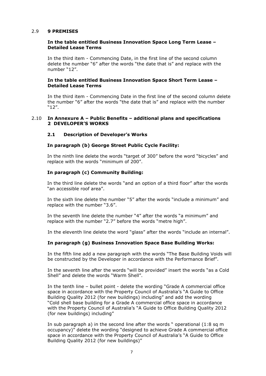## 2.9 **9 PREMISES**

## **In the table entitled Business Innovation Space Long Term Lease – Detailed Lease Terms**

In the third item - Commencing Date, in the first line of the second column delete the number "6" after the words "the date that is" and replace with the number "12".

## **In the table entitled Business Innovation Space Short Term Lease – Detailed Lease Terms**

In the third item - Commencing Date in the first line of the second column delete the number "6" after the words "the date that is" and replace with the number "12".

## 2.10 **In Annexure A – Public Benefits – additional plans and specifications 2 DEVELOPER'S WORKS**

## **2.1 Description of Developer's Works**

## **In paragraph (b) George Street Public Cycle Facility:**

In the ninth line delete the words "target of 300" before the word "bicycles" and replace with the words "minimum of 200".

## **In paragraph (c) Community Building:**

In the third line delete the words "and an option of a third floor" after the words "an accessible roof area".

In the sixth line delete the number "5" after the words "include a minimum" and replace with the number "3.6".

In the seventh line delete the number "4" after the words "a minimum" and replace with the number "2.7" before the words "metre high".

In the eleventh line delete the word "glass" after the words "include an internal".

## **In paragraph (g) Business Innovation Space Base Building Works:**

In the fifth line add a new paragraph with the words "The Base Building Voids will be constructed by the Developer in accordance with the Performance Brief".

In the seventh line after the words "will be provided" insert the words "as a Cold Shell" and delete the words "Warm Shell".

In the tenth line – bullet point - delete the wording "Grade A commercial office space in accordance with the Property Council of Australia's "A Guide to Office Building Quality 2012 (for new buildings) including" and add the wording "Cold shell base building for a Grade A commercial office space in accordance with the Property Council of Australia's "A Guide to Office Building Quality 2012 (for new buildings) including"

In sub paragraph a) in the second line after the words " operational (1:8 sq m occupancy)" delete the wording "designed to achieve Grade A commercial office space in accordance with the Property Council of Australia's "A Guide to Office Building Quality 2012 (for new buildings)"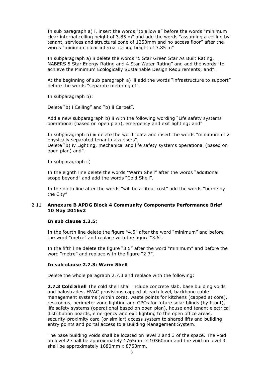In sub paragraph a) i. insert the words "to allow a" before the words "minimum clear internal ceiling height of 3.85 m" and add the words "assuming a ceiling by tenant, services and structural zone of 1250mm and no access floor" after the words "minimum clear internal ceiling height of 3.85 m"

In subparagraph a) ii delete the words "5 Star Green Star As Built Rating, NABERS 5 Star Energy Rating and 4 Star Water Rating" and add the words "to achieve the Minimum Ecologically Sustainable Design Requirements; and".

At the beginning of sub paragraph a) iii add the words "infrastructure to support" before the words "separate metering of".

In subparagraph b):

Delete "b) i Ceiling" and "b) ii Carpet".

Add a new subparagraph b) ii with the following wording "Life safety systems operational (based on open plan), emergency and exit lighting; and"

In subparagraph b) iii delete the word "data and insert the words "minimum of 2 physically separated tenant data risers".

Delete "b) iv Lighting, mechanical and life safety systems operational (based on open plan) and".

In subparagraph c)

In the eighth line delete the words "Warm Shell" after the words "additional scope beyond" and add the words "Cold Shell".

In the ninth line after the words "will be a fitout cost" add the words "borne by the City"

## 2.11 **Annexure B APDG Block 4 Community Components Performance Brief 10 May 2016v2**

# **In sub clause 1.3.5:**

In the fourth line delete the figure "4.5" after the word "minimum" and before the word "metre" and replace with the figure "3.6".

In the fifth line delete the figure "3.5" after the word "minimum" and before the word "metre" and replace with the figure "2.7".

#### **In sub clause 2.7.3: Warm Shell**

Delete the whole paragraph 2.7.3 and replace with the following:

**2.7.3 Cold Shell** The cold shell shall include concrete slab, base building voids and balustrades, HVAC provisions capped at each level, backbone cable management systems (within core), waste points for kitchens (capped at core), restrooms, perimeter zone lighting and GPOs for future solar blinds (by fitout), life safety systems (operational based on open plan), house and tenant electrical distribution boards, emergency and exit lighting to the open office areas, security-proximity card (or similar) access system to shared lifts and building entry points and portal access to a Building Management System.

The base building voids shall be located on level 2 and 3 of the space. The void on level 2 shall be approximately 1765mm x 10360mm and the void on level 3 shall be approximately 1680mm x 8750mm.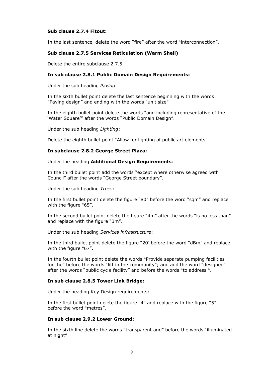# **Sub clause 2.7.4 Fitout:**

In the last sentence, delete the word "fire" after the word "interconnection".

## **Sub clause 2.7.5 Services Reticulation (Warm Shell)**

Delete the entire subclause 2.7.5.

## **In sub clause 2.8.1 Public Domain Design Requirements:**

Under the sub heading *Paving*:

In the sixth bullet point delete the last sentence beginning with the words "Paving design" and ending with the words "unit size"

In the eighth bullet point delete the words "and including representative of the 'Water Square'" after the words "Public Domain Design".

Under the sub heading *Lighting*:

Delete the eighth bullet point "Allow for lighting of public art elements".

## **In subclause 2.8.2 George Street Plaza:**

#### Under the heading **Additional Design Requirements**:

In the third bullet point add the words "except where otherwise agreed with Council" after the words "George Street boundary".

Under the sub heading *Trees*:

In the first bullet point delete the figure "80" before the word "sqm" and replace with the figure "65".

In the second bullet point delete the figure "4m" after the words "is no less than" and replace with the figure "3m".

Under the sub heading *Services infrastructure*:

In the third bullet point delete the figure "20' before the word "dBm" and replace with the figure "67".

In the fourth bullet point delete the words "Provide separate pumping facilities for the" before the words "lift in the community"; and add the word "designed" after the words "public cycle facility" and before the words "to address ".

## **In sub clause 2.8.5 Tower Link Bridge:**

Under the heading Key Design requirements:

In the first bullet point delete the figure "4" and replace with the figure "5" before the word "metres".

#### **In sub clause 2.9.2 Lower Ground:**

In the sixth line delete the words "transparent and" before the words "illuminated at night"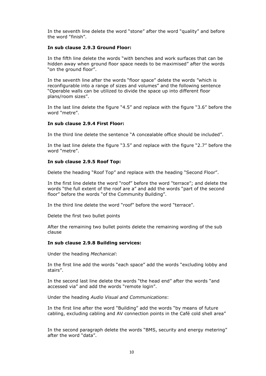In the seventh line delete the word "stone" after the word "quality" and before the word "finish".

## **In sub clause 2.9.3 Ground Floor:**

In the fifth line delete the words "with benches and work surfaces that can be hidden away when ground floor space needs to be maximised" after the words "on the ground floor".

In the seventh line after the words "floor space" delete the words "which is reconfigurable into a range of sizes and volumes" and the following sentence "Operable walls can be utilized to divide the space up into different floor plans/room sizes".

In the last line delete the figure "4.5" and replace with the figure "3.6" before the word "metre".

## **In sub clause 2.9.4 First Floor:**

In the third line delete the sentence "A concealable office should be included".

In the last line delete the figure "3.5" and replace with the figure "2.7" before the word "metre".

## **In sub clause 2.9.5 Roof Top:**

Delete the heading "Roof Top" and replace with the heading "Second Floor".

In the first line delete the word "roof" before the word "terrace"; and delete the words "the full extent of the roof are a" and add the words "part of the second floor" before the words "of the Community Building".

In the third line delete the word "roof" before the word "terrace".

Delete the first two bullet points

After the remaining two bullet points delete the remaining wording of the sub clause

#### **In sub clause 2.9.8 Building services:**

Under the heading *Mechanical*:

In the first line add the words "each space" add the words "excluding lobby and stairs".

In the second last line delete the words "the head end" after the words "and accessed via" and add the words "remote login".

Under the heading *Audio Visual and Communications*:

In the first line after the word "Building" add the words "by means of future cabling, excluding cabling and AV connection points in the Café cold shell area"

In the second paragraph delete the words "BMS, security and energy metering" after the word "data".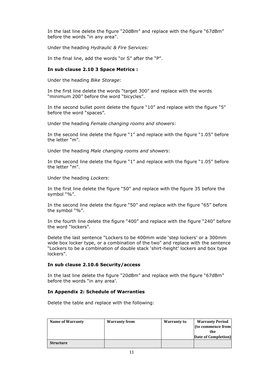In the last line delete the figure "20dBm" and replace with the figure "67dBm" before the words "in any area".

Under the heading *Hydraulic & Fire Services:*

In the final line, add the words "or S" after the "P".

# **In sub clause 2.10 3 Space Metrics :**

Under the heading *Bike Storage*:

In the first line delete the words "target 300" and replace with the words "minimum 200" before the word "bicycles".

In the second bullet point delete the figure "10" and replace with the figure "5" before the word "spaces".

Under the heading *Female changing rooms and showers*:

In the second line delete the figure "1" and replace with the figure "1.05" before the letter "m".

Under the heading *Male changing rooms and showers*:

In the second line delete the figure "1" and replace with the figure "1.05" before the letter "m".

Under the heading *Lockers*:

In the first line delete the figure "50" and replace with the figure 35 before the symbol "%".

In the second line delete the figure "50" and replace with the figure "65" before the symbol "%".

In the fourth line delete the figure "400" and replace with the figure "240" before the word "lockers".

Delete the last sentence "Lockers to be 400mm wide 'step lockers' or a 300mm wide box locker type, or a combination of the two" and replace with the sentence "Lockers to be a combination of double stack 'shirt-height' lockers and box type lockers".

## **In sub clause 2.10.6 Security/access**

In the last line delete the figure "20dBm" and replace with the figure "67dBm" before the words "in any area'.

## **In Appendix 2: Schedule of Warranties**

Delete the table and replace with the following:

| Name of Warranty | <b>Warranty from</b> | <b>Warranty to</b> | <b>Warranty Period</b><br>(to commence from<br>the |
|------------------|----------------------|--------------------|----------------------------------------------------|
|                  |                      |                    | Date of Completion)                                |
| <b>Structure</b> |                      |                    |                                                    |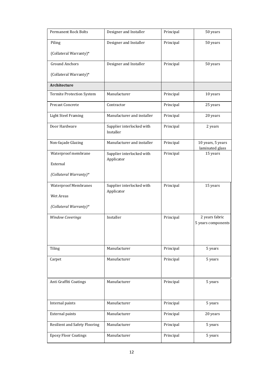| Permanent Rock Bolts                 | Designer and Installer                  | Principal | 50 years                             |
|--------------------------------------|-----------------------------------------|-----------|--------------------------------------|
| Piling                               | Designer and Installer                  | Principal | 50 years                             |
| (Collateral Warranty)*               |                                         |           |                                      |
| <b>Ground Anchors</b>                | Designer and Installer                  | Principal | 50 years                             |
| (Collateral Warranty)*               |                                         |           |                                      |
| Architecture                         |                                         |           |                                      |
| Termite Protection System            | Manufacturer                            | Principal | 10 years                             |
| Precast Concrete                     | Contractor                              | Principal | 25 years                             |
| <b>Light Steel Framing</b>           | Manufacturer and installer              | Principal | 20 years                             |
| Door Hardware                        | Supplier interlocked with<br>Installer  | Principal | 2 years                              |
| Non-façade Glazing                   | Manufacturer and installer              | Principal | 10 years, 5 years<br>laminated glass |
| Waterproof membrane                  | Supplier interlocked with               | Principal | 15 years                             |
| External                             | Applicator                              |           |                                      |
| (Collateral Warranty)*               |                                         |           |                                      |
| <b>Waterproof Membranes</b>          | Supplier interlocked with<br>Applicator | Principal | 15 years                             |
| <b>Wet Areas</b>                     |                                         |           |                                      |
| (Collateral Warranty)*               |                                         |           |                                      |
| <b>Window Coverings</b>              | Installer                               | Principal | 2 years fabric<br>5 years components |
|                                      |                                         |           |                                      |
|                                      |                                         |           |                                      |
| Tiling                               | Manufacturer                            | Principal | 5 years                              |
| Carpet                               | Manufacturer                            | Principal | 5 years                              |
|                                      |                                         |           |                                      |
| Anti Graffiti Coatings               | Manufacturer                            | Principal | 5 years                              |
|                                      |                                         |           |                                      |
| Internal paints                      | Manufacturer                            | Principal | 5 years                              |
| <b>External paints</b>               | Manufacturer                            | Principal | 20 years                             |
| <b>Resilient and Safety Flooring</b> | Manufacturer                            | Principal | 5 years                              |
| <b>Epoxy Floor Coatings</b>          | Manufacturer                            | Principal | 5 years                              |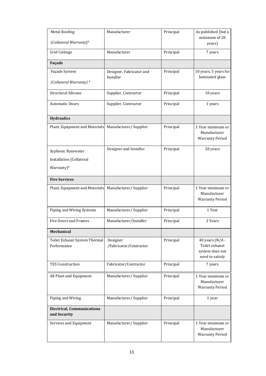| <b>Metal Roofing</b><br>(Collateral Warranty)*               | Manufacturer                          | Principal | As published (but a<br>minimum of 20<br>years)                             |
|--------------------------------------------------------------|---------------------------------------|-----------|----------------------------------------------------------------------------|
| <b>Grid Ceilings</b>                                         | Manufacturer                          | Principal | 7 years                                                                    |
| Façade                                                       |                                       |           |                                                                            |
| Façade System<br>(Collateral Warranty) *                     | Designer, Fabricator and<br>Installer | Principal | 10 years, 5 years for<br>laminated glass                                   |
| <b>Structural Silicone</b>                                   | Supplier, Contractor                  | Principal | 10 years                                                                   |
| <b>Automatic Doors</b>                                       | Supplier, Contractor                  | Principal | 1 years                                                                    |
| <b>Hydraulics</b>                                            |                                       |           |                                                                            |
| Plant, Equipment and Materials                               | Manufacturer/Supplier                 | Principal | 1 Year minimum or<br>Manufacturer<br><b>Warranty Period</b>                |
| Syphonic Rainwater<br>Installation (Collateral<br>Warranty)* | Designer and Installer                | Principal | 20 years                                                                   |
| <b>Fire Services</b>                                         |                                       |           |                                                                            |
| Plant, Equipment and Materials                               | Manufacturer/Supplier                 | Principal | 1 Year minimum or<br>Manufacturer<br><b>Warranty Period</b>                |
| Piping and Wiring Systems                                    | Manufacturer/Supplier                 | Principal | 1 Year                                                                     |
| <b>Fire Doors and Frames</b>                                 | Manufacturer/Installer                | Principal | 2 Years                                                                    |
| Mechanical                                                   |                                       |           |                                                                            |
| Toilet Exhaust System Thermal<br>Performance                 | Designer<br>/Fabricator/Contractor    | Principal | 40 years ( $N/A$ -<br>Toilet exhaust<br>system does not<br>need to satisfy |
| <b>TES Construction</b>                                      | Fabricator/Contractor                 | Principal | 7 years                                                                    |
| All Plant and Equipment                                      | Manufacturer/Supplier                 | Principal | 1 Year minimum or<br>Manufacturer<br><b>Warranty Period</b>                |
| Piping and Wiring                                            | Manufacturer/Supplier                 | Principal | 1 year                                                                     |
| <b>Electrical, Communications</b><br>and Security            |                                       |           |                                                                            |
| Services and Equipment                                       | Manufacturer/Supplier                 | Principal | 1 Year minimum or<br>Manufacturer<br><b>Warranty Period</b>                |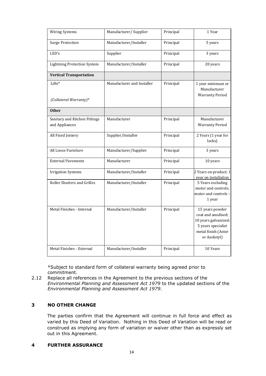| <b>Wiring Systems</b>                           | Manufacturer/Supplier      | Principal | 1 Year                                                                                                                     |
|-------------------------------------------------|----------------------------|-----------|----------------------------------------------------------------------------------------------------------------------------|
| <b>Surge Protection</b>                         | Manufacturer/Installer     | Principal | 5 years                                                                                                                    |
| LED's                                           | Supplier                   | Principal | 3 years                                                                                                                    |
| <b>Lightning Protection System</b>              | Manufacturer/Installer     | Principal | 20 years                                                                                                                   |
| <b>Vertical Transportation</b>                  |                            |           |                                                                                                                            |
| Lifts*<br>(Collateral Warranty)*                | Manufacturer and Installer | Principal | 1 year minimum or<br>Manufacturer<br><b>Warranty Period</b>                                                                |
| <b>Other</b>                                    |                            |           |                                                                                                                            |
| Sanitary and Kitchen Fittings<br>and Appliances | Manufacturer               | Principal | Manufacturer<br><b>Warranty Period</b>                                                                                     |
| All Fixed Joinery                               | Supplier/Installer         | Principal | 2 Years (1 year for<br>locks)                                                                                              |
| All Loose Furniture                             | Manufacturer/Supplier      | Principal | 3 years                                                                                                                    |
| <b>External Pavements</b>                       | Manufacturer               | Principal | 10 years                                                                                                                   |
| <b>Irrigation Systems</b>                       | Manufacturer/Installer     | Principal | 2 Years on product; 1<br>year on installation                                                                              |
| Roller Shutters and Grilles                     | Manufacturer/Installer     | Principal | 5 Years excluding<br>motor and controls;<br>motor and controls -<br>1 year                                                 |
| Metal Finishes - Internal                       | Manufacturer/Installer     | Principal | 15 years powder<br>coat and anodised;<br>10 years galvanized;<br>5 years specialist<br>metal finish (Astor<br>or Axolotyl) |
| Metal Finishes - External                       | Manufacturer/Installer     | Principal | 10 Years                                                                                                                   |

\*Subject to standard form of collateral warranty being agreed prior to commitment.

2.12 Replace all references in the Agreement to the previous sections of the *Environmental Planning and Assessment Act 1979* to the updated sections of the *Environmental Planning and Assessment Act 1979*.

# **3 NO OTHER CHANGE**

The parties confirm that the Agreement will continue in full force and effect as varied by this Deed of Variation. Nothing in this Deed of Variation will be read or construed as implying any form of variation or waiver other than as expressly set out in this Agreement.

# **4 FURTHER ASSURANCE**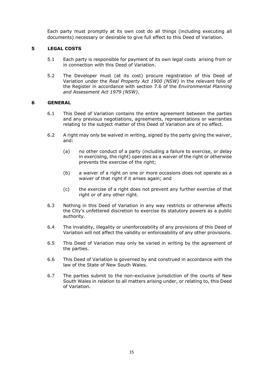Each party must promptly at its own cost do all things (including executing all documents) necessary or desirable to give full effect to this Deed of Variation.

# **5 LEGAL COSTS**

- 5.1 Each party is responsible for payment of its own legal costs arising from or in connection with this Deed of Variation.
- 5.2 The Developer must (at its cost) procure registration of this Deed of Variation under the *Real Property Act 1900 (NSW)* in the relevant folio of the Register in accordance with section 7.6 of the *Environmental Planning and Assessment Act 1979 (NSW)*.

## **6 GENERAL**

- 6.1 This Deed of Variation contains the entire agreement between the parties and any previous negotiations, agreements, representations or warranties relating to the subject matter of this Deed of Variation are of no effect.
- 6.2 A right may only be waived in writing, signed by the party giving the waiver, and:
	- (a) no other conduct of a party (including a failure to exercise, or delay in exercising, the right) operates as a waiver of the right or otherwise prevents the exercise of the right;
	- (b) a waiver of a right on one or more occasions does not operate as a waiver of that right if it arises again; and
	- (c) the exercise of a right does not prevent any further exercise of that right or of any other right.
- 6.3 Nothing in this Deed of Variation in any way restricts or otherwise affects the City's unfettered discretion to exercise its statutory powers as a public authority.
- 6.4 The invalidity, illegality or unenforceability of any provisions of this Deed of Variation will not affect the validity or enforceability of any other provisions.
- 6.5 This Deed of Variation may only be varied in writing by the agreement of the parties.
- 6.6 This Deed of Variation is governed by and construed in accordance with the law of the State of New South Wales.
- 6.7 The parties submit to the non-exclusive jurisdiction of the courts of New South Wales in relation to all matters arising under, or relating to, this Deed of Variation.